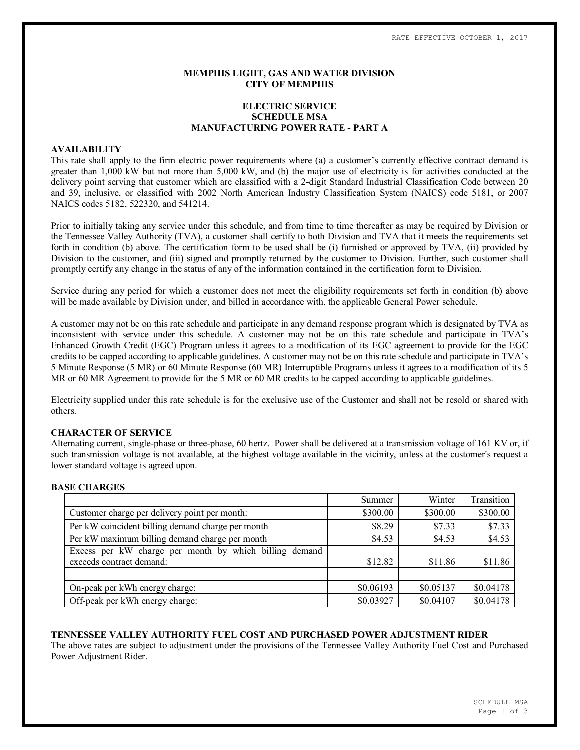# **MEMPHIS LIGHT, GAS AND WATER DIVISION CITY OF MEMPHIS**

# **ELECTRIC SERVICE SCHEDULE MSA MANUFACTURING POWER RATE - PART A**

#### **AVAILABILITY**

This rate shall apply to the firm electric power requirements where (a) a customer's currently effective contract demand is greater than 1,000 kW but not more than 5,000 kW, and (b) the major use of electricity is for activities conducted at the delivery point serving that customer which are classified with a 2-digit Standard Industrial Classification Code between 20 and 39, inclusive, or classified with 2002 North American Industry Classification System (NAICS) code 5181, or 2007 NAICS codes 5182, 522320, and 541214.

Prior to initially taking any service under this schedule, and from time to time thereafter as may be required by Division or the Tennessee Valley Authority (TVA), a customer shall certify to both Division and TVA that it meets the requirements set forth in condition (b) above. The certification form to be used shall be (i) furnished or approved by TVA, (ii) provided by Division to the customer, and (iii) signed and promptly returned by the customer to Division. Further, such customer shall promptly certify any change in the status of any of the information contained in the certification form to Division.

Service during any period for which a customer does not meet the eligibility requirements set forth in condition (b) above will be made available by Division under, and billed in accordance with, the applicable General Power schedule.

A customer may not be on this rate schedule and participate in any demand response program which is designated by TVA as inconsistent with service under this schedule. A customer may not be on this rate schedule and participate in TVA's Enhanced Growth Credit (EGC) Program unless it agrees to a modification of its EGC agreement to provide for the EGC credits to be capped according to applicable guidelines. A customer may not be on this rate schedule and participate in TVA's 5 Minute Response (5 MR) or 60 Minute Response (60 MR) Interruptible Programs unless it agrees to a modification of its 5 MR or 60 MR Agreement to provide for the 5 MR or 60 MR credits to be capped according to applicable guidelines.

Electricity supplied under this rate schedule is for the exclusive use of the Customer and shall not be resold or shared with others.

# **CHARACTER OF SERVICE**

Alternating current, single-phase or three-phase, 60 hertz. Power shall be delivered at a transmission voltage of 161 KV or, if such transmission voltage is not available, at the highest voltage available in the vicinity, unless at the customer's request a lower standard voltage is agreed upon.

## **BASE CHARGES**

|                                                        | Summer    | Winter    | Transition |
|--------------------------------------------------------|-----------|-----------|------------|
| Customer charge per delivery point per month:          | \$300.00  | \$300.00  | \$300.00   |
| Per kW coincident billing demand charge per month      | \$8.29    | \$7.33    | \$7.33     |
| Per kW maximum billing demand charge per month         | \$4.53    | \$4.53    | \$4.53     |
| Excess per kW charge per month by which billing demand |           |           |            |
| exceeds contract demand:                               | \$12.82   | \$11.86   | \$11.86    |
|                                                        |           |           |            |
| On-peak per kWh energy charge:                         | \$0.06193 | \$0.05137 | \$0.04178  |
| Off-peak per kWh energy charge:                        | \$0.03927 | \$0.04107 | \$0.04178  |

## **TENNESSEE VALLEY AUTHORITY FUEL COST AND PURCHASED POWER ADJUSTMENT RIDER**

The above rates are subject to adjustment under the provisions of the Tennessee Valley Authority Fuel Cost and Purchased Power Adjustment Rider.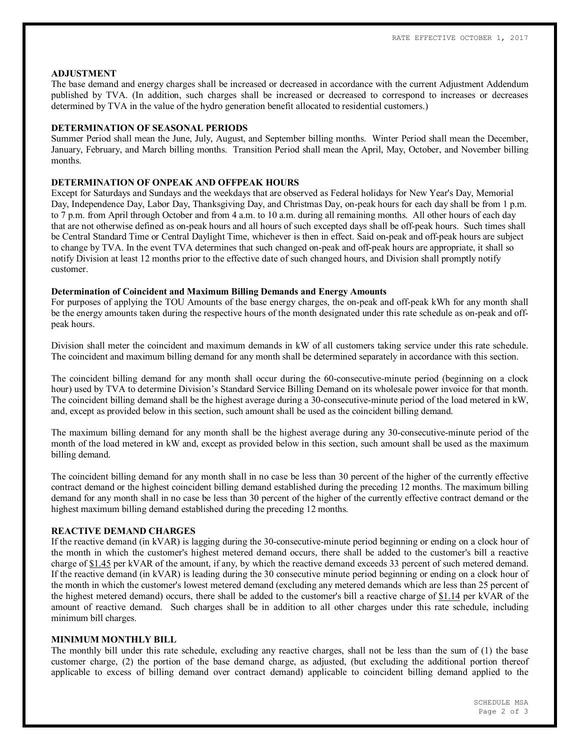## **ADJUSTMENT**

The base demand and energy charges shall be increased or decreased in accordance with the current Adjustment Addendum published by TVA. (In addition, such charges shall be increased or decreased to correspond to increases or decreases determined by TVA in the value of the hydro generation benefit allocated to residential customers.)

### **DETERMINATION OF SEASONAL PERIODS**

Summer Period shall mean the June, July, August, and September billing months. Winter Period shall mean the December, January, February, and March billing months. Transition Period shall mean the April, May, October, and November billing months.

# **DETERMINATION OF ONPEAK AND OFFPEAK HOURS**

Except for Saturdays and Sundays and the weekdays that are observed as Federal holidays for New Year's Day, Memorial Day, Independence Day, Labor Day, Thanksgiving Day, and Christmas Day, on-peak hours for each day shall be from 1 p.m. to 7 p.m. from April through October and from 4 a.m. to 10 a.m. during all remaining months. All other hours of each day that are not otherwise defined as on-peak hours and all hours of such excepted days shall be off-peak hours. Such times shall be Central Standard Time or Central Daylight Time, whichever is then in effect. Said on-peak and off-peak hours are subject to change by TVA. In the event TVA determines that such changed on-peak and off-peak hours are appropriate, it shall so notify Division at least 12 months prior to the effective date of such changed hours, and Division shall promptly notify customer.

# **Determination of Coincident and Maximum Billing Demands and Energy Amounts**

For purposes of applying the TOU Amounts of the base energy charges, the on-peak and off-peak kWh for any month shall be the energy amounts taken during the respective hours of the month designated under this rate schedule as on-peak and offpeak hours.

Division shall meter the coincident and maximum demands in kW of all customers taking service under this rate schedule. The coincident and maximum billing demand for any month shall be determined separately in accordance with this section.

The coincident billing demand for any month shall occur during the 60-consecutive-minute period (beginning on a clock hour) used by TVA to determine Division's Standard Service Billing Demand on its wholesale power invoice for that month. The coincident billing demand shall be the highest average during a 30-consecutive-minute period of the load metered in kW, and, except as provided below in this section, such amount shall be used as the coincident billing demand.

The maximum billing demand for any month shall be the highest average during any 30-consecutive-minute period of the month of the load metered in kW and, except as provided below in this section, such amount shall be used as the maximum billing demand.

The coincident billing demand for any month shall in no case be less than 30 percent of the higher of the currently effective contract demand or the highest coincident billing demand established during the preceding 12 months. The maximum billing demand for any month shall in no case be less than 30 percent of the higher of the currently effective contract demand or the highest maximum billing demand established during the preceding 12 months.

# **REACTIVE DEMAND CHARGES**

If the reactive demand (in kVAR) is lagging during the 30-consecutive-minute period beginning or ending on a clock hour of the month in which the customer's highest metered demand occurs, there shall be added to the customer's bill a reactive charge of \$1.45 per kVAR of the amount, if any, by which the reactive demand exceeds 33 percent of such metered demand. If the reactive demand (in kVAR) is leading during the 30 consecutive minute period beginning or ending on a clock hour of the month in which the customer's lowest metered demand (excluding any metered demands which are less than 25 percent of the highest metered demand) occurs, there shall be added to the customer's bill a reactive charge of \$1.14 per kVAR of the amount of reactive demand. Such charges shall be in addition to all other charges under this rate schedule, including minimum bill charges.

## **MINIMUM MONTHLY BILL**

The monthly bill under this rate schedule, excluding any reactive charges, shall not be less than the sum of (1) the base customer charge, (2) the portion of the base demand charge, as adjusted, (but excluding the additional portion thereof applicable to excess of billing demand over contract demand) applicable to coincident billing demand applied to the